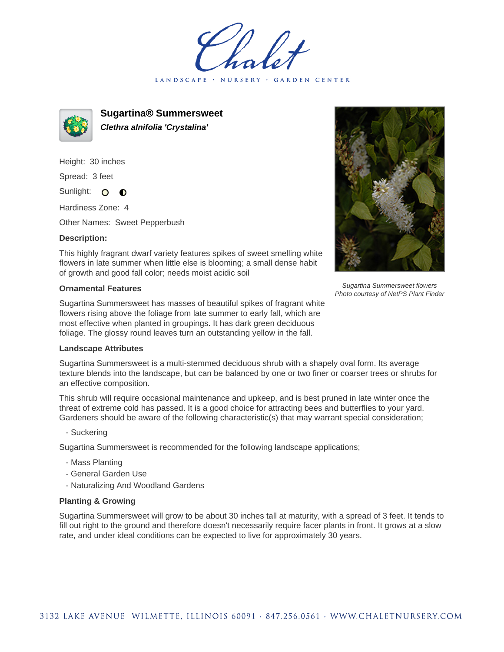LANDSCAPE · NURSERY GARDEN CENTER



**Sugartina® Summersweet Clethra alnifolia 'Crystalina'**

Height: 30 inches Spread: 3 feet

Sunlight: O  $\bullet$ 

Hardiness Zone: 4

Other Names: Sweet Pepperbush

## **Description:**

Sugartina Summersweet flowers Photo courtesy of NetPS Plant Finder

This highly fragrant dwarf variety features spikes of sweet smelling white flowers in late summer when little else is blooming; a small dense habit of growth and good fall color; needs moist acidic soil

## **Ornamental Features**

Sugartina Summersweet has masses of beautiful spikes of fragrant white flowers rising above the foliage from late summer to early fall, which are most effective when planted in groupings. It has dark green deciduous foliage. The glossy round leaves turn an outstanding yellow in the fall.

## **Landscape Attributes**

Sugartina Summersweet is a multi-stemmed deciduous shrub with a shapely oval form. Its average texture blends into the landscape, but can be balanced by one or two finer or coarser trees or shrubs for an effective composition.

This shrub will require occasional maintenance and upkeep, and is best pruned in late winter once the threat of extreme cold has passed. It is a good choice for attracting bees and butterflies to your yard. Gardeners should be aware of the following characteristic(s) that may warrant special consideration;

- Suckering

Sugartina Summersweet is recommended for the following landscape applications;

- Mass Planting
- General Garden Use
- Naturalizing And Woodland Gardens

## **Planting & Growing**

Sugartina Summersweet will grow to be about 30 inches tall at maturity, with a spread of 3 feet. It tends to fill out right to the ground and therefore doesn't necessarily require facer plants in front. It grows at a slow rate, and under ideal conditions can be expected to live for approximately 30 years.